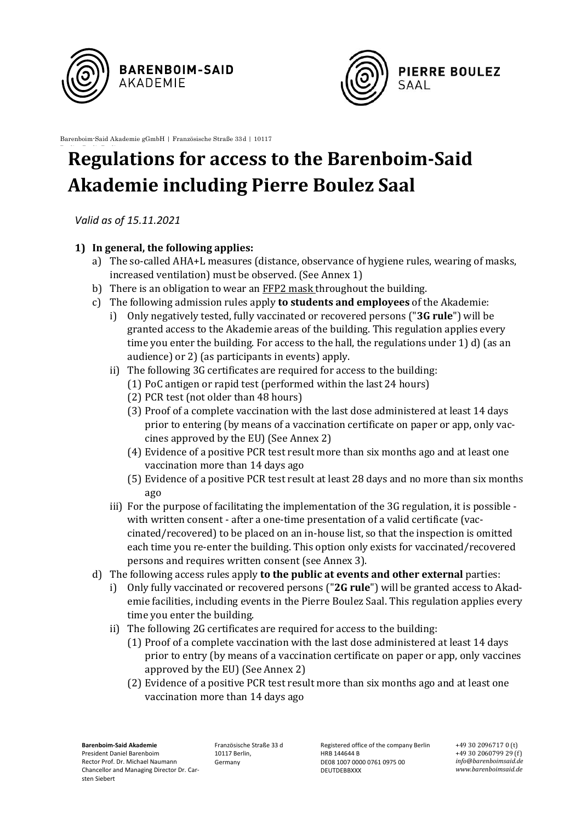



Barenboim-Said Akademie gGmbH | Französische Straße 33d | 10117

## **Regulations for access to the Barenboim-Said Akademie including Pierre Boulez Saal**

*Valid as of 15.11.2021*

## **1) In general, the following applies:**

- a) The so-called AHA+L measures (distance, observance of hygiene rules, wearing of masks, increased ventilation) must be observed. (See Annex 1)
- b) There is an obligation to wear an FFP2 mask throughout the building.
- c) The following admission rules apply **to students and employees** of the Akademie:
	- i) Only negatively tested, fully vaccinated or recovered persons ("**3G rule**") will be granted access to the Akademie areas of the building. This regulation applies every time you enter the building. For access to the hall, the regulations under 1) d) (as an audience) or 2) (as participants in events) apply.
	- ii) The following 3G certificates are required for access to the building:
		- (1) PoC antigen or rapid test (performed within the last 24 hours)
		- (2) PCR test (not older than 48 hours)
		- (3) Proof of a complete vaccination with the last dose administered at least 14 days prior to entering (by means of a vaccination certificate on paper or app, only vaccines approved by the EU) (See Annex 2)
		- (4) Evidence of a positive PCR test result more than six months ago and at least one vaccination more than 14 days ago
		- (5) Evidence of a positive PCR test result at least 28 days and no more than six months ago
	- iii) For the purpose of facilitating the implementation of the 3G regulation, it is possible with written consent - after a one-time presentation of a valid certificate (vaccinated/recovered) to be placed on an in-house list, so that the inspection is omitted each time you re-enter the building. This option only exists for vaccinated/recovered persons and requires written consent (see Annex 3).
- d) The following access rules apply **to the public at events and other external** parties:
	- i) Only fully vaccinated or recovered persons ("**2G rule**") will be granted access to Akademie facilities, including events in the Pierre Boulez Saal. This regulation applies every time you enter the building.
	- ii) The following 2G certificates are required for access to the building:
		- (1) Proof of a complete vaccination with the last dose administered at least 14 days prior to entry (by means of a vaccination certificate on paper or app, only vaccines approved by the EU) (See Annex 2)
		- (2) Evidence of a positive PCR test result more than six months ago and at least one vaccination more than 14 days ago

**Barenboim-Said Akademie** President Daniel Barenboim Rector Prof. Dr. Michael Naumann Chancellor and Managing Director Dr. Carsten Siebert

Französische Straße 33 d 10117 Berlin, Germany

Registered office of the company Berlin HRB 144644 B DE08 1007 0000 0761 0975 00 DEUTDEBBXXX

+49 30 2096717 0 (t) +49 30 2060799 29 (f) *info@barenboimsaid.de www.barenboimsaid.de*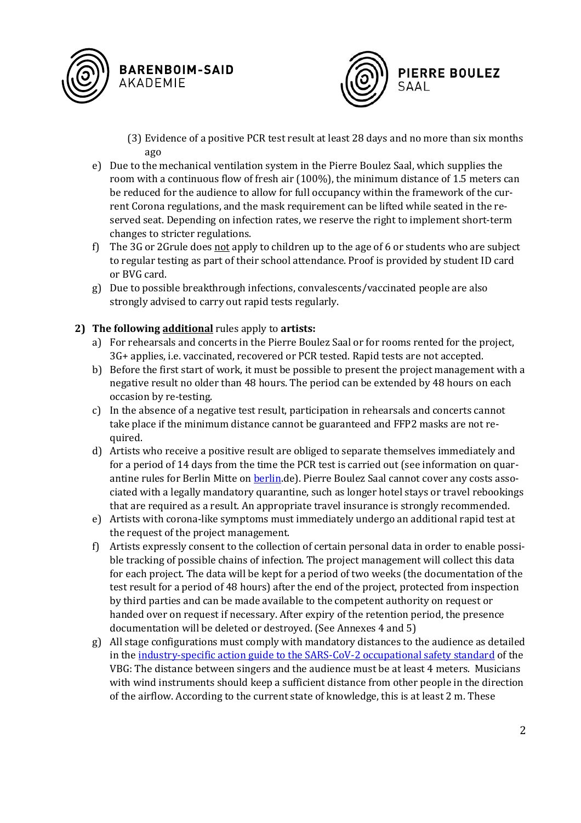

**PIERRE BOULEZ** SAAL

- (3) Evidence of a positive PCR test result at least 28 days and no more than six months ago
- e) Due to the mechanical ventilation system in the Pierre Boulez Saal, which supplies the room with a continuous flow of fresh air (100%), the minimum distance of 1.5 meters can be reduced for the audience to allow for full occupancy within the framework of the current Corona regulations, and the mask requirement can be lifted while seated in the reserved seat. Depending on infection rates, we reserve the right to implement short-term changes to stricter regulations.
- f) The 3G or 2Grule does not apply to children up to the age of 6 or students who are subject to regular testing as part of their school attendance. Proof is provided by student ID card or BVG card.
- g) Due to possible breakthrough infections, convalescents/vaccinated people are also strongly advised to carry out rapid tests regularly.

## <span id="page-1-0"></span>**2) The following additional** rules apply to **artists:**

- a) For rehearsals and concerts in the Pierre Boulez Saal or for rooms rented for the project, 3G+ applies, i.e. vaccinated, recovered or PCR tested. Rapid tests are not accepted.
- b) Before the first start of work, it must be possible to present the project management with a negative result no older than 48 hours. The period can be extended by 48 hours on each occasion by re-testing.
- c) In the absence of a negative test result, participation in rehearsals and concerts cannot take place if the minimum distance cannot be guaranteed and FFP2 masks are not required.
- d) Artists who receive a positive result are obliged to separate themselves immediately and for a period of 14 days from the time the PCR test is carried out (see information on quarantine rules for Berlin Mitte on [berlin.](https://www.berlin.de/ba-mitte/politik-und-verwaltung/aemter/gesundheitsamt/corona/)de). Pierre Boulez Saal cannot cover any costs associated with a legally mandatory quarantine, such as longer hotel stays or travel rebookings that are required as a result. An appropriate travel insurance is strongly recommended.
- e) Artists with corona-like symptoms must immediately undergo an additional rapid test at the request of the project management.
- f) Artists expressly consent to the collection of certain personal data in order to enable possible tracking of possible chains of infection. The project management will collect this data for each project. The data will be kept for a period of two weeks (the documentation of the test result for a period of 48 hours) after the end of the project, protected from inspection by third parties and can be made available to the competent authority on request or handed over on request if necessary. After expiry of the retention period, the presence documentation will be deleted or destroyed. (See Annexes 4 and 5)
- g) All stage configurations must comply with mandatory distances to the audience as detailed in the [industry-specific action guide to the SARS-CoV-2 occupational safety standard](https://www.vbg.de/DE/3_Praevention_und_Arbeitshilfen/3_Aktuelles_und_Seminare/6_Aktuelles/Coronavirus/Brancheninfos_Arbeitsschutzstandard/BuehnenuStudios_Probenbetrieb.pdf?__blob=publicationFile&v=26) of the VBG: The distance between singers and the audience must be at least 4 meters. Musicians with wind instruments should keep a sufficient distance from other people in the direction of the airflow. According to the current state of knowledge, this is at least 2 m. These